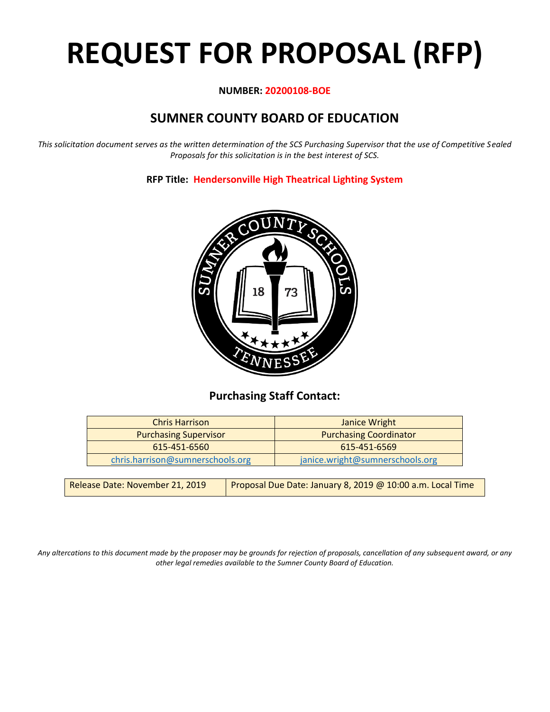# **REQUEST FOR PROPOSAL (RFP)**

## **NUMBER: 20200108-BOE**

# **SUMNER COUNTY BOARD OF EDUCATION**

*This solicitation document serves as the written determination of the SCS Purchasing Supervisor that the use of Competitive Sealed Proposals for this solicitation is in the best interest of SCS.*

# **RFP Title: Hendersonville High Theatrical Lighting System**



# **Purchasing Staff Contact:**

| Janice Wright                   |
|---------------------------------|
| <b>Purchasing Coordinator</b>   |
| 615-451-6569                    |
| janice.wright@sumnerschools.org |
|                                 |

*Any altercations to this document made by the proposer may be grounds for rejection of proposals, cancellation of any subsequent award, or any other legal remedies available to the Sumner County Board of Education.*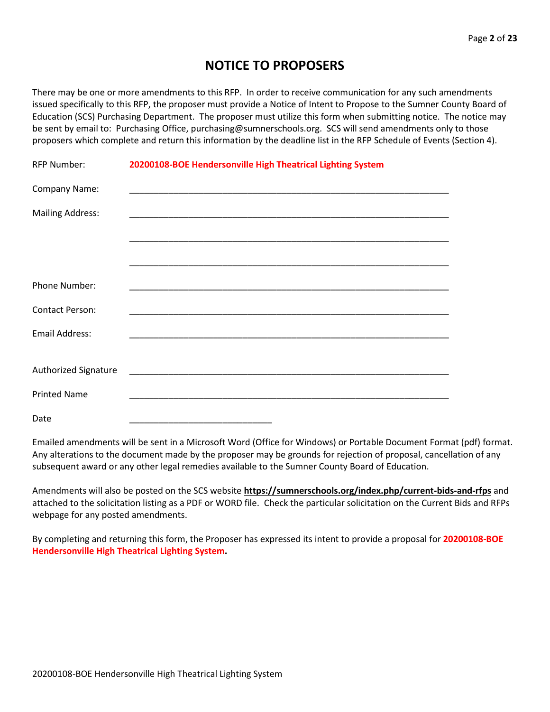# **NOTICE TO PROPOSERS**

There may be one or more amendments to this RFP. In order to receive communication for any such amendments issued specifically to this RFP, the proposer must provide a Notice of Intent to Propose to the Sumner County Board of Education (SCS) Purchasing Department. The proposer must utilize this form when submitting notice. The notice may be sent by email to: Purchasing Office, purchasing@sumnerschools.org. SCS will send amendments only to those proposers which complete and return this information by the deadline list in the RFP Schedule of Events (Section 4).

| <b>RFP Number:</b>          | 20200108-BOE Hendersonville High Theatrical Lighting System |  |
|-----------------------------|-------------------------------------------------------------|--|
| Company Name:               |                                                             |  |
| <b>Mailing Address:</b>     |                                                             |  |
|                             |                                                             |  |
|                             |                                                             |  |
| Phone Number:               |                                                             |  |
| <b>Contact Person:</b>      |                                                             |  |
| <b>Email Address:</b>       |                                                             |  |
|                             |                                                             |  |
| <b>Authorized Signature</b> |                                                             |  |
| <b>Printed Name</b>         |                                                             |  |
| Date                        |                                                             |  |

Emailed amendments will be sent in a Microsoft Word (Office for Windows) or Portable Document Format (pdf) format. Any alterations to the document made by the proposer may be grounds for rejection of proposal, cancellation of any subsequent award or any other legal remedies available to the Sumner County Board of Education.

Amendments will also be posted on the SCS website **https://sumnerschools.org/index.php/current-bids-and-rfps** and attached to the solicitation listing as a PDF or WORD file. Check the particular solicitation on the Current Bids and RFPs webpage for any posted amendments.

By completing and returning this form, the Proposer has expressed its intent to provide a proposal for **20200108-BOE Hendersonville High Theatrical Lighting System.**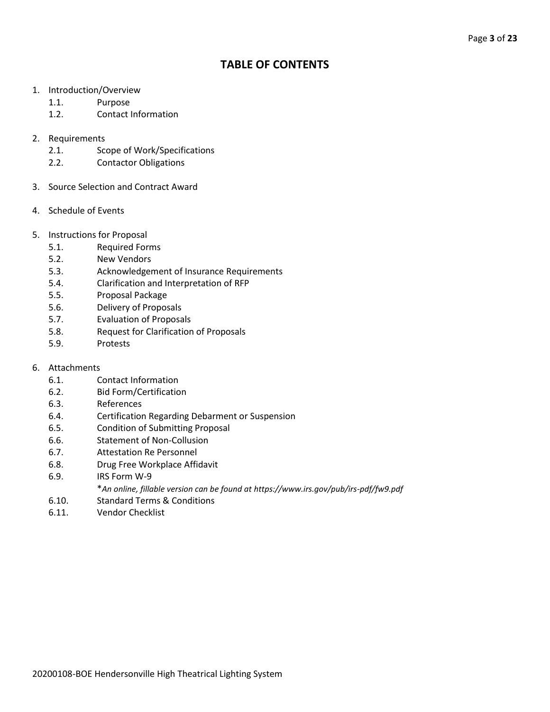# **TABLE OF CONTENTS**

- 1. Introduction/Overview
	- 1.1. Purpose
	- 1.2. Contact Information
- 2. Requirements
	- 2.1. Scope of Work/Specifications
	- 2.2. Contactor Obligations
- 3. Source Selection and Contract Award
- 4. Schedule of Events
- 5. Instructions for Proposal
	- 5.1. Required Forms
	- 5.2. New Vendors
	- 5.3. Acknowledgement of Insurance Requirements
	- 5.4. Clarification and Interpretation of RFP
	- 5.5. Proposal Package
	- 5.6. Delivery of Proposals
	- 5.7. Evaluation of Proposals
	- 5.8. Request for Clarification of Proposals
	- 5.9. Protests
- 6. Attachments
	- 6.1. Contact Information
	- 6.2. Bid Form/Certification
	- 6.3. References
	- 6.4. Certification Regarding Debarment or Suspension
	- 6.5. Condition of Submitting Proposal
	- 6.6. Statement of Non-Collusion
	- 6.7. Attestation Re Personnel
	- 6.8. Drug Free Workplace Affidavit
	- 6.9. IRS Form W-9
		- \**An online, fillable version can be found at https://www.irs.gov/pub/irs-pdf/fw9.pdf*
	- 6.10. Standard Terms & Conditions
	- 6.11. Vendor Checklist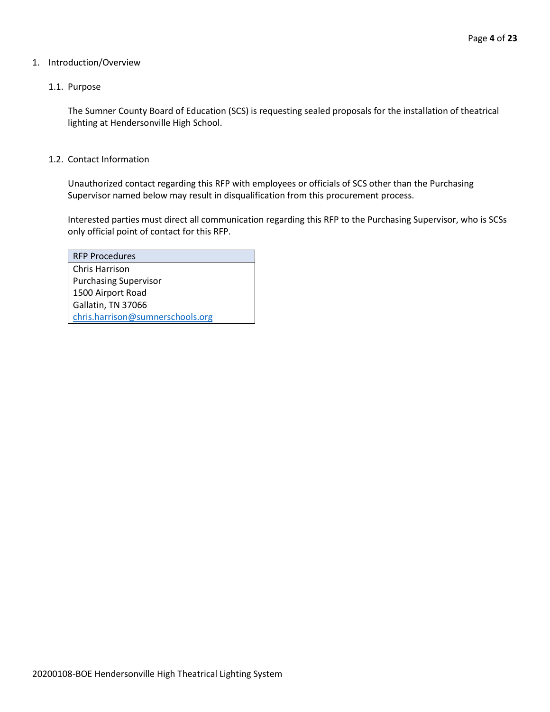#### 1. Introduction/Overview

#### 1.1. Purpose

The Sumner County Board of Education (SCS) is requesting sealed proposals for the installation of theatrical lighting at Hendersonville High School.

#### 1.2. Contact Information

Unauthorized contact regarding this RFP with employees or officials of SCS other than the Purchasing Supervisor named below may result in disqualification from this procurement process.

Interested parties must direct all communication regarding this RFP to the Purchasing Supervisor, who is SCSs only official point of contact for this RFP.

| <b>RFP Procedures</b>            |
|----------------------------------|
| Chris Harrison                   |
| <b>Purchasing Supervisor</b>     |
| 1500 Airport Road                |
| Gallatin, TN 37066               |
| chris.harrison@sumnerschools.org |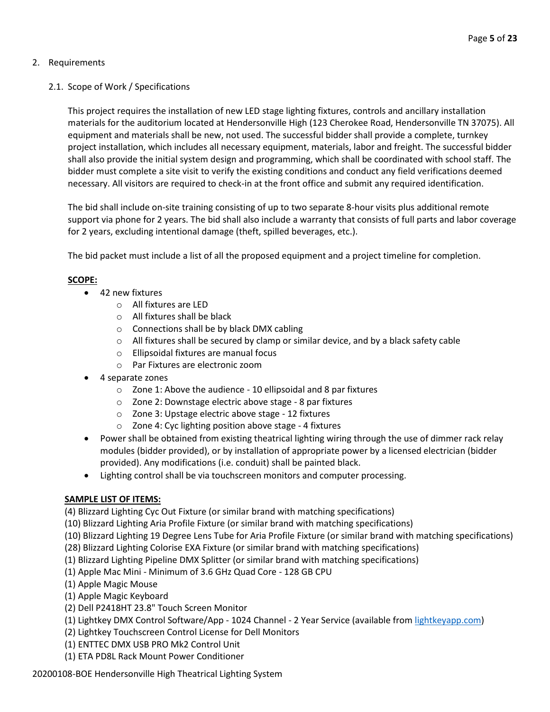## 2. Requirements

## 2.1. Scope of Work / Specifications

This project requires the installation of new LED stage lighting fixtures, controls and ancillary installation materials for the auditorium located at Hendersonville High (123 Cherokee Road, Hendersonville TN 37075). All equipment and materials shall be new, not used. The successful bidder shall provide a complete, turnkey project installation, which includes all necessary equipment, materials, labor and freight. The successful bidder shall also provide the initial system design and programming, which shall be coordinated with school staff. The bidder must complete a site visit to verify the existing conditions and conduct any field verifications deemed necessary. All visitors are required to check-in at the front office and submit any required identification.

The bid shall include on-site training consisting of up to two separate 8-hour visits plus additional remote support via phone for 2 years. The bid shall also include a warranty that consists of full parts and labor coverage for 2 years, excluding intentional damage (theft, spilled beverages, etc.).

The bid packet must include a list of all the proposed equipment and a project timeline for completion.

## **SCOPE:**

- 42 new fixtures
	- o All fixtures are LED
	- o All fixtures shall be black
	- o Connections shall be by black DMX cabling
	- $\circ$  All fixtures shall be secured by clamp or similar device, and by a black safety cable
	- o Ellipsoidal fixtures are manual focus
	- o Par Fixtures are electronic zoom
- 4 separate zones
	- o Zone 1: Above the audience 10 ellipsoidal and 8 par fixtures
	- o Zone 2: Downstage electric above stage 8 par fixtures
	- o Zone 3: Upstage electric above stage 12 fixtures
	- o Zone 4: Cyc lighting position above stage 4 fixtures
- Power shall be obtained from existing theatrical lighting wiring through the use of dimmer rack relay modules (bidder provided), or by installation of appropriate power by a licensed electrician (bidder provided). Any modifications (i.e. conduit) shall be painted black.
- Lighting control shall be via touchscreen monitors and computer processing.

#### **SAMPLE LIST OF ITEMS:**

(4) Blizzard Lighting Cyc Out Fixture (or similar brand with matching specifications)

- (10) Blizzard Lighting Aria Profile Fixture (or similar brand with matching specifications)
- (10) Blizzard Lighting 19 Degree Lens Tube for Aria Profile Fixture (or similar brand with matching specifications)
- (28) Blizzard Lighting Colorise EXA Fixture (or similar brand with matching specifications)
- (1) Blizzard Lighting Pipeline DMX Splitter (or similar brand with matching specifications)
- (1) Apple Mac Mini Minimum of 3.6 GHz Quad Core 128 GB CPU
- (1) Apple Magic Mouse
- (1) Apple Magic Keyboard
- (2) Dell P2418HT 23.8" Touch Screen Monitor
- (1) Lightkey DMX Control Software/App 1024 Channel 2 Year Service (available fro[m lightkeyapp.com\)](http://lightkeyapp.com/)
- (2) Lightkey Touchscreen Control License for Dell Monitors
- (1) ENTTEC DMX USB PRO Mk2 Control Unit
- (1) ETA PD8L Rack Mount Power Conditioner

20200108-BOE Hendersonville High Theatrical Lighting System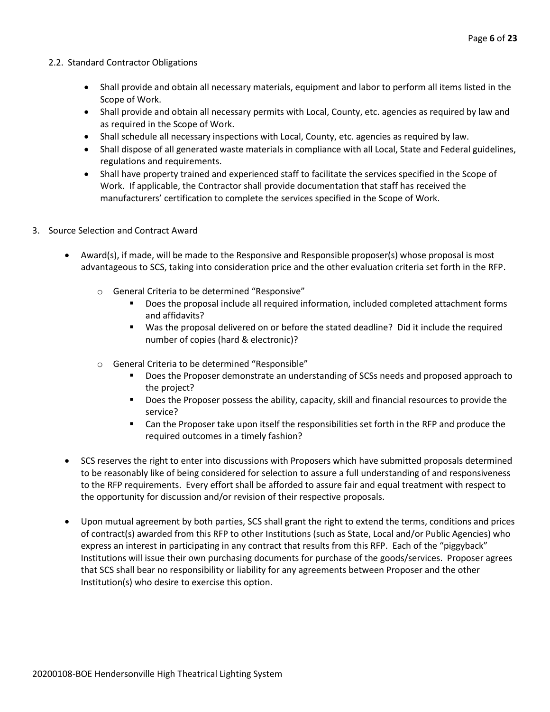#### 2.2. Standard Contractor Obligations

- Shall provide and obtain all necessary materials, equipment and labor to perform all items listed in the Scope of Work.
- Shall provide and obtain all necessary permits with Local, County, etc. agencies as required by law and as required in the Scope of Work.
- Shall schedule all necessary inspections with Local, County, etc. agencies as required by law.
- Shall dispose of all generated waste materials in compliance with all Local, State and Federal guidelines, regulations and requirements.
- Shall have property trained and experienced staff to facilitate the services specified in the Scope of Work. If applicable, the Contractor shall provide documentation that staff has received the manufacturers' certification to complete the services specified in the Scope of Work.
- 3. Source Selection and Contract Award
	- Award(s), if made, will be made to the Responsive and Responsible proposer(s) whose proposal is most advantageous to SCS, taking into consideration price and the other evaluation criteria set forth in the RFP.
		- o General Criteria to be determined "Responsive"
			- Does the proposal include all required information, included completed attachment forms and affidavits?
			- Was the proposal delivered on or before the stated deadline? Did it include the required number of copies (hard & electronic)?
		- o General Criteria to be determined "Responsible"
			- **•** Does the Proposer demonstrate an understanding of SCSs needs and proposed approach to the project?
			- Does the Proposer possess the ability, capacity, skill and financial resources to provide the service?
			- Can the Proposer take upon itself the responsibilities set forth in the RFP and produce the required outcomes in a timely fashion?
	- SCS reserves the right to enter into discussions with Proposers which have submitted proposals determined to be reasonably like of being considered for selection to assure a full understanding of and responsiveness to the RFP requirements. Every effort shall be afforded to assure fair and equal treatment with respect to the opportunity for discussion and/or revision of their respective proposals.
	- Upon mutual agreement by both parties, SCS shall grant the right to extend the terms, conditions and prices of contract(s) awarded from this RFP to other Institutions (such as State, Local and/or Public Agencies) who express an interest in participating in any contract that results from this RFP. Each of the "piggyback" Institutions will issue their own purchasing documents for purchase of the goods/services. Proposer agrees that SCS shall bear no responsibility or liability for any agreements between Proposer and the other Institution(s) who desire to exercise this option.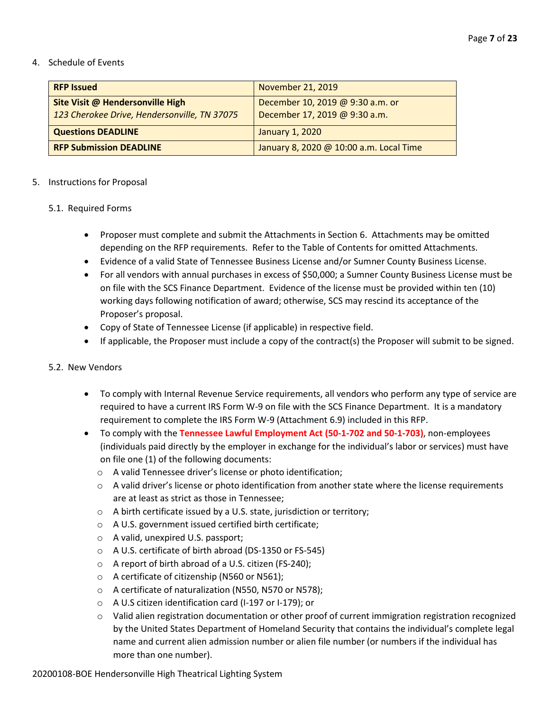#### 4. Schedule of Events

| <b>RFP Issued</b>                                                                       | <b>November 21, 2019</b>                                          |
|-----------------------------------------------------------------------------------------|-------------------------------------------------------------------|
| <b>Site Visit @ Hendersonville High</b><br>123 Cherokee Drive, Hendersonville, TN 37075 | December 10, 2019 @ 9:30 a.m. or<br>December 17, 2019 @ 9:30 a.m. |
| <b>Questions DEADLINE</b>                                                               | <b>January 1, 2020</b>                                            |
| <b>RFP Submission DEADLINE</b>                                                          | January 8, 2020 @ 10:00 a.m. Local Time                           |

#### 5. Instructions for Proposal

#### 5.1. Required Forms

- Proposer must complete and submit the Attachments in Section 6. Attachments may be omitted depending on the RFP requirements. Refer to the Table of Contents for omitted Attachments.
- Evidence of a valid State of Tennessee Business License and/or Sumner County Business License.
- For all vendors with annual purchases in excess of \$50,000; a Sumner County Business License must be on file with the SCS Finance Department. Evidence of the license must be provided within ten (10) working days following notification of award; otherwise, SCS may rescind its acceptance of the Proposer's proposal.
- Copy of State of Tennessee License (if applicable) in respective field.
- If applicable, the Proposer must include a copy of the contract(s) the Proposer will submit to be signed.

#### 5.2. New Vendors

- To comply with Internal Revenue Service requirements, all vendors who perform any type of service are required to have a current IRS Form W-9 on file with the SCS Finance Department. It is a mandatory requirement to complete the IRS Form W-9 (Attachment 6.9) included in this RFP.
- To comply with the **Tennessee Lawful Employment Act (50-1-702 and 50-1-703)**, non-employees (individuals paid directly by the employer in exchange for the individual's labor or services) must have on file one (1) of the following documents:
	- o A valid Tennessee driver's license or photo identification;
	- $\circ$  A valid driver's license or photo identification from another state where the license requirements are at least as strict as those in Tennessee;
	- o A birth certificate issued by a U.S. state, jurisdiction or territory;
	- o A U.S. government issued certified birth certificate;
	- o A valid, unexpired U.S. passport;
	- o A U.S. certificate of birth abroad (DS-1350 or FS-545)
	- o A report of birth abroad of a U.S. citizen (FS-240);
	- o A certificate of citizenship (N560 or N561);
	- o A certificate of naturalization (N550, N570 or N578);
	- o A U.S citizen identification card (I-197 or I-179); or
	- o Valid alien registration documentation or other proof of current immigration registration recognized by the United States Department of Homeland Security that contains the individual's complete legal name and current alien admission number or alien file number (or numbers if the individual has more than one number).

20200108-BOE Hendersonville High Theatrical Lighting System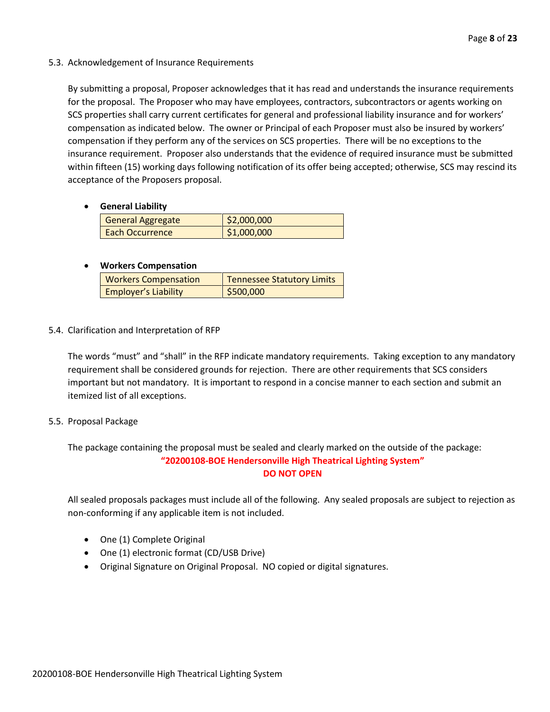5.3. Acknowledgement of Insurance Requirements

By submitting a proposal, Proposer acknowledges that it has read and understands the insurance requirements for the proposal. The Proposer who may have employees, contractors, subcontractors or agents working on SCS properties shall carry current certificates for general and professional liability insurance and for workers' compensation as indicated below. The owner or Principal of each Proposer must also be insured by workers' compensation if they perform any of the services on SCS properties. There will be no exceptions to the insurance requirement. Proposer also understands that the evidence of required insurance must be submitted within fifteen (15) working days following notification of its offer being accepted; otherwise, SCS may rescind its acceptance of the Proposers proposal.

• **General Liability**

| <b>General Aggregate</b> | \$2,000,000 |
|--------------------------|-------------|
| <b>Each Occurrence</b>   | \$1,000,000 |

## • **Workers Compensation**

| <b>Workers Compensation</b> | Tennessee Statutory Limits |
|-----------------------------|----------------------------|
| <b>Employer's Liability</b> | \$500,000                  |

5.4. Clarification and Interpretation of RFP

The words "must" and "shall" in the RFP indicate mandatory requirements. Taking exception to any mandatory requirement shall be considered grounds for rejection. There are other requirements that SCS considers important but not mandatory. It is important to respond in a concise manner to each section and submit an itemized list of all exceptions.

#### 5.5. Proposal Package

The package containing the proposal must be sealed and clearly marked on the outside of the package: **"20200108-BOE Hendersonville High Theatrical Lighting System" DO NOT OPEN**

All sealed proposals packages must include all of the following. Any sealed proposals are subject to rejection as non-conforming if any applicable item is not included.

- One (1) Complete Original
- One (1) electronic format (CD/USB Drive)
- Original Signature on Original Proposal. NO copied or digital signatures.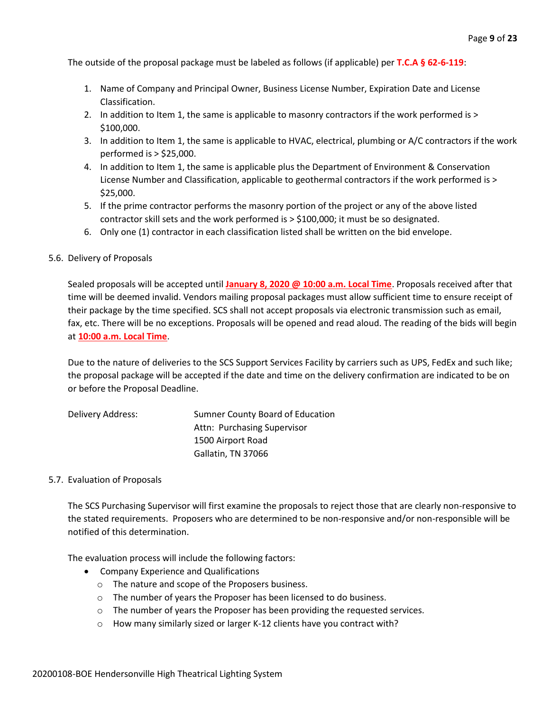The outside of the proposal package must be labeled as follows (if applicable) per **T.C.A § 62-6-119**:

- 1. Name of Company and Principal Owner, Business License Number, Expiration Date and License Classification.
- 2. In addition to Item 1, the same is applicable to masonry contractors if the work performed is > \$100,000.
- 3. In addition to Item 1, the same is applicable to HVAC, electrical, plumbing or A/C contractors if the work performed is > \$25,000.
- 4. In addition to Item 1, the same is applicable plus the Department of Environment & Conservation License Number and Classification, applicable to geothermal contractors if the work performed is > \$25,000.
- 5. If the prime contractor performs the masonry portion of the project or any of the above listed contractor skill sets and the work performed is > \$100,000; it must be so designated.
- 6. Only one (1) contractor in each classification listed shall be written on the bid envelope.

#### 5.6. Delivery of Proposals

Sealed proposals will be accepted until **January 8, 2020 @ 10:00 a.m. Local Time**. Proposals received after that time will be deemed invalid. Vendors mailing proposal packages must allow sufficient time to ensure receipt of their package by the time specified. SCS shall not accept proposals via electronic transmission such as email, fax, etc. There will be no exceptions. Proposals will be opened and read aloud. The reading of the bids will begin at **10:00 a.m. Local Time**.

Due to the nature of deliveries to the SCS Support Services Facility by carriers such as UPS, FedEx and such like; the proposal package will be accepted if the date and time on the delivery confirmation are indicated to be on or before the Proposal Deadline.

| Delivery Address: | Sumner County Board of Education |
|-------------------|----------------------------------|
|                   | Attn: Purchasing Supervisor      |
|                   | 1500 Airport Road                |
|                   | Gallatin, TN 37066               |

#### 5.7. Evaluation of Proposals

The SCS Purchasing Supervisor will first examine the proposals to reject those that are clearly non-responsive to the stated requirements. Proposers who are determined to be non-responsive and/or non-responsible will be notified of this determination.

The evaluation process will include the following factors:

- Company Experience and Qualifications
	- o The nature and scope of the Proposers business.
	- o The number of years the Proposer has been licensed to do business.
	- o The number of years the Proposer has been providing the requested services.
	- o How many similarly sized or larger K-12 clients have you contract with?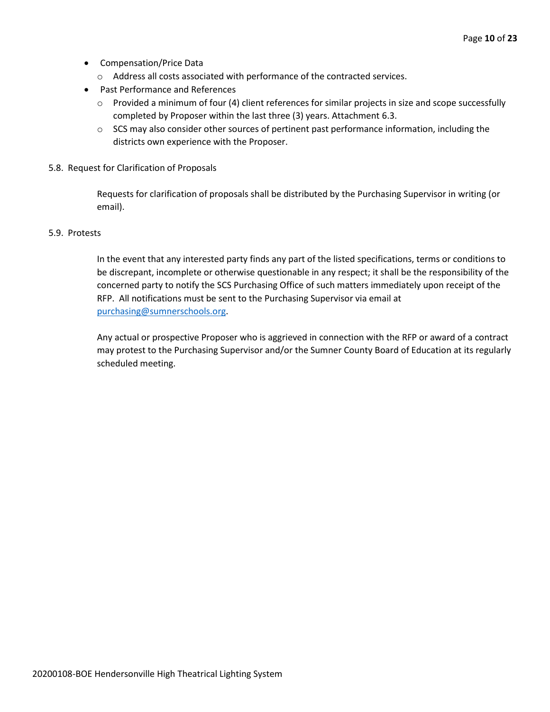- Compensation/Price Data
	- o Address all costs associated with performance of the contracted services.
- Past Performance and References
	- $\circ$  Provided a minimum of four (4) client references for similar projects in size and scope successfully completed by Proposer within the last three (3) years. Attachment 6.3.
	- $\circ$  SCS may also consider other sources of pertinent past performance information, including the districts own experience with the Proposer.
- 5.8. Request for Clarification of Proposals

Requests for clarification of proposals shall be distributed by the Purchasing Supervisor in writing (or email).

#### 5.9. Protests

In the event that any interested party finds any part of the listed specifications, terms or conditions to be discrepant, incomplete or otherwise questionable in any respect; it shall be the responsibility of the concerned party to notify the SCS Purchasing Office of such matters immediately upon receipt of the RFP. All notifications must be sent to the Purchasing Supervisor via email at [purchasing@sumnerschools.org.](mailto:purchasing@sumnerschools.org)

Any actual or prospective Proposer who is aggrieved in connection with the RFP or award of a contract may protest to the Purchasing Supervisor and/or the Sumner County Board of Education at its regularly scheduled meeting.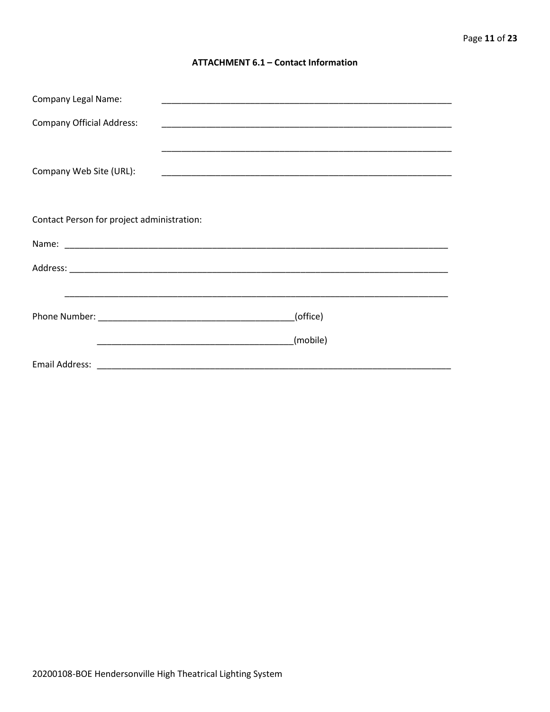#### **ATTACHMENT 6.1 - Contact Information**

| <b>Company Legal Name:</b>                 |          |
|--------------------------------------------|----------|
| <b>Company Official Address:</b>           |          |
|                                            |          |
| Company Web Site (URL):                    |          |
|                                            |          |
|                                            |          |
| Contact Person for project administration: |          |
|                                            |          |
|                                            |          |
|                                            |          |
|                                            | (office) |
|                                            | (mobile) |
|                                            |          |
|                                            |          |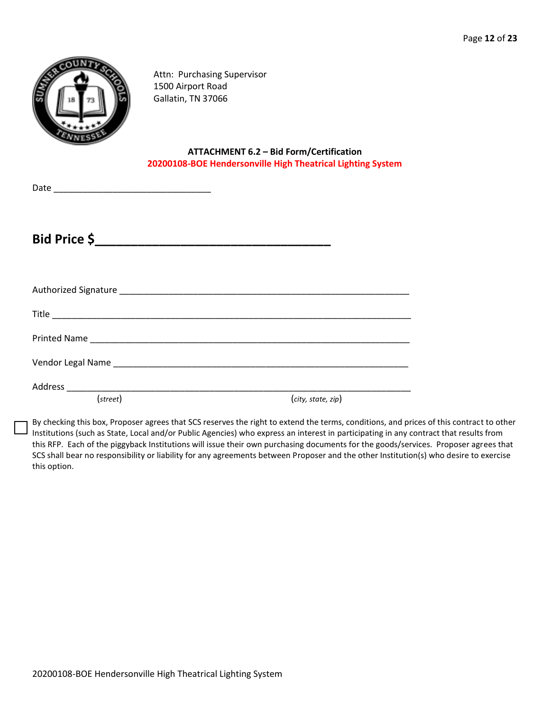

Attn: Purchasing Supervisor 1500 Airport Road Gallatin, TN 37066

**ATTACHMENT 6.2 – Bid Form/Certification 20200108-BOE Hendersonville High Theatrical Lighting System**

Date \_\_\_\_\_\_\_\_\_\_\_\_\_\_\_\_\_\_\_\_\_\_\_\_\_\_\_\_\_\_\_\_

**Bid Price \$\_\_\_\_\_\_\_\_\_\_\_\_\_\_\_\_\_\_\_\_\_\_\_\_\_\_\_\_\_\_\_\_\_**

| (street) | (city, state, zip) |
|----------|--------------------|

By checking this box, Proposer agrees that SCS reserves the right to extend the terms, conditions, and prices of this contract to other Institutions (such as State, Local and/or Public Agencies) who express an interest in participating in any contract that results from this RFP. Each of the piggyback Institutions will issue their own purchasing documents for the goods/services. Proposer agrees that SCS shall bear no responsibility or liability for any agreements between Proposer and the other Institution(s) who desire to exercise this option.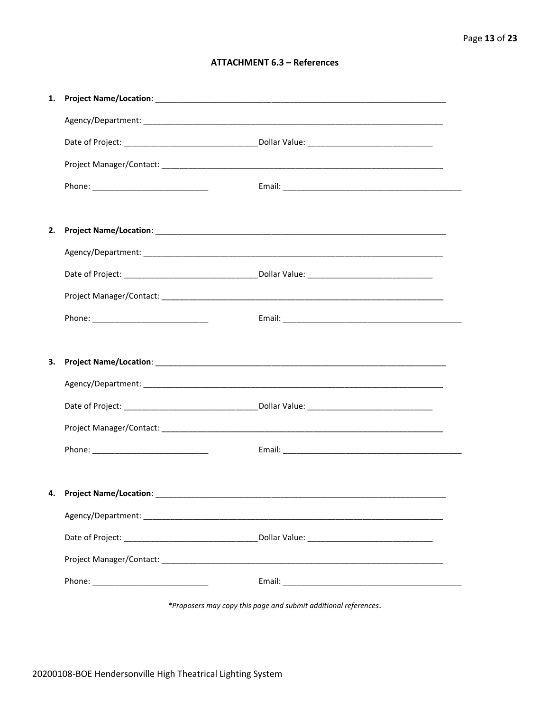#### **ATTACHMENT 6.3 - References**

| 1. |                                    |  |
|----|------------------------------------|--|
|    |                                    |  |
|    |                                    |  |
|    |                                    |  |
|    |                                    |  |
|    |                                    |  |
| 2. |                                    |  |
|    |                                    |  |
|    |                                    |  |
|    |                                    |  |
|    |                                    |  |
|    |                                    |  |
| З. |                                    |  |
|    |                                    |  |
|    |                                    |  |
|    |                                    |  |
|    |                                    |  |
|    |                                    |  |
|    | 4. Project Name/Location: ________ |  |
|    |                                    |  |
|    |                                    |  |
|    |                                    |  |
|    |                                    |  |
|    |                                    |  |

\*Proposers may copy this page and submit additional references.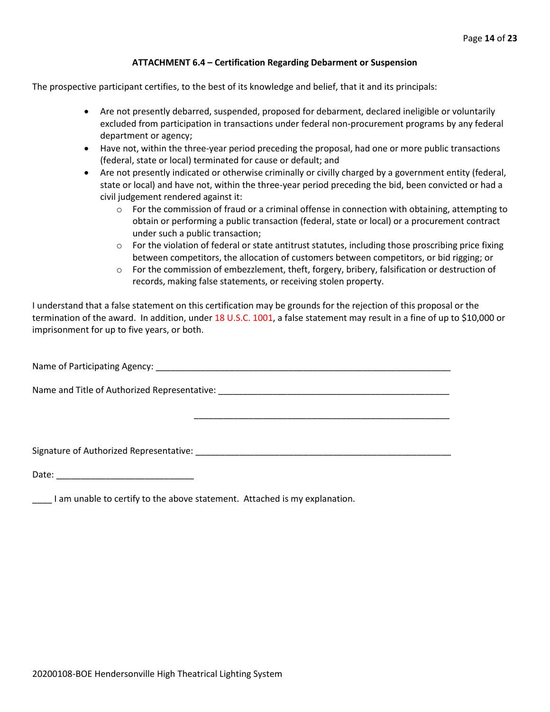#### **ATTACHMENT 6.4 – Certification Regarding Debarment or Suspension**

The prospective participant certifies, to the best of its knowledge and belief, that it and its principals:

- Are not presently debarred, suspended, proposed for debarment, declared ineligible or voluntarily excluded from participation in transactions under federal non-procurement programs by any federal department or agency;
- Have not, within the three-year period preceding the proposal, had one or more public transactions (federal, state or local) terminated for cause or default; and
- Are not presently indicated or otherwise criminally or civilly charged by a government entity (federal, state or local) and have not, within the three-year period preceding the bid, been convicted or had a civil judgement rendered against it:
	- $\circ$  For the commission of fraud or a criminal offense in connection with obtaining, attempting to obtain or performing a public transaction (federal, state or local) or a procurement contract under such a public transaction;
	- $\circ$  For the violation of federal or state antitrust statutes, including those proscribing price fixing between competitors, the allocation of customers between competitors, or bid rigging; or
	- $\circ$  For the commission of embezzlement, theft, forgery, bribery, falsification or destruction of records, making false statements, or receiving stolen property.

\_\_\_\_\_\_\_\_\_\_\_\_\_\_\_\_\_\_\_\_\_\_\_\_\_\_\_\_\_\_\_\_\_\_\_\_\_\_\_\_\_\_\_\_\_\_\_\_\_\_\_\_

I understand that a false statement on this certification may be grounds for the rejection of this proposal or the termination of the award. In addition, under 18 U.S.C. 1001, a false statement may result in a fine of up to \$10,000 or imprisonment for up to five years, or both.

Name of Participating Agency: \_\_\_\_\_\_\_\_\_\_\_\_\_\_\_\_\_\_\_\_\_\_\_\_\_\_\_\_\_\_\_\_\_\_\_\_\_\_\_\_\_\_\_\_\_\_\_\_\_\_\_\_\_\_\_\_\_\_\_\_

Name and Title of Authorized Representative: \_\_\_\_\_\_\_\_\_\_\_\_\_\_\_\_\_\_\_\_\_\_\_\_\_\_\_\_\_\_\_\_\_\_\_\_\_\_\_\_\_\_\_\_\_\_\_

Signature of Authorized Representative: \_\_\_\_\_\_\_\_\_\_\_\_\_\_\_\_\_\_\_\_\_\_\_\_\_\_\_\_\_\_\_\_\_\_\_\_\_\_\_\_\_\_\_\_\_\_\_\_\_\_\_\_

Date: \_\_\_\_\_\_\_\_\_\_\_\_\_\_\_\_\_\_\_\_\_\_\_\_\_\_\_\_

\_\_\_\_ I am unable to certify to the above statement. Attached is my explanation.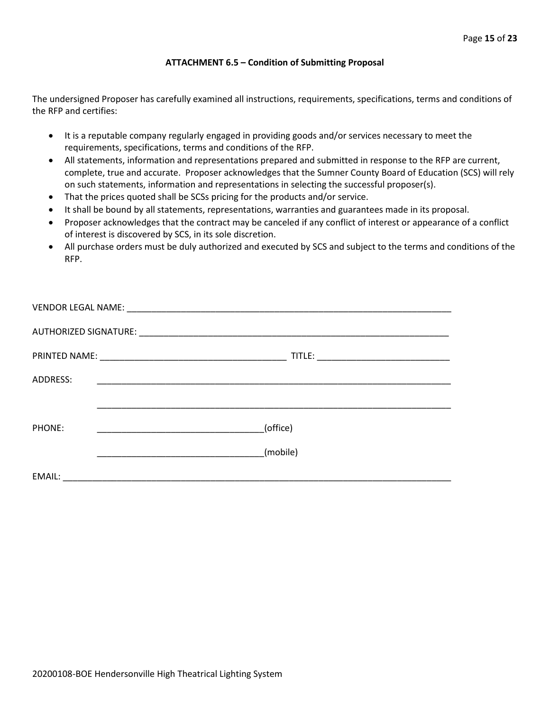#### **ATTACHMENT 6.5 – Condition of Submitting Proposal**

The undersigned Proposer has carefully examined all instructions, requirements, specifications, terms and conditions of the RFP and certifies:

- It is a reputable company regularly engaged in providing goods and/or services necessary to meet the requirements, specifications, terms and conditions of the RFP.
- All statements, information and representations prepared and submitted in response to the RFP are current, complete, true and accurate. Proposer acknowledges that the Sumner County Board of Education (SCS) will rely on such statements, information and representations in selecting the successful proposer(s).
- That the prices quoted shall be SCSs pricing for the products and/or service.
- It shall be bound by all statements, representations, warranties and guarantees made in its proposal.
- Proposer acknowledges that the contract may be canceled if any conflict of interest or appearance of a conflict of interest is discovered by SCS, in its sole discretion.
- All purchase orders must be duly authorized and executed by SCS and subject to the terms and conditions of the RFP.

| ADDRESS: |                                                     |
|----------|-----------------------------------------------------|
|          |                                                     |
|          |                                                     |
| PHONE:   | (office)<br><u> 1990 - Johann Barbara, martin a</u> |
|          | (mobile)                                            |
|          |                                                     |
| EMAIL:   |                                                     |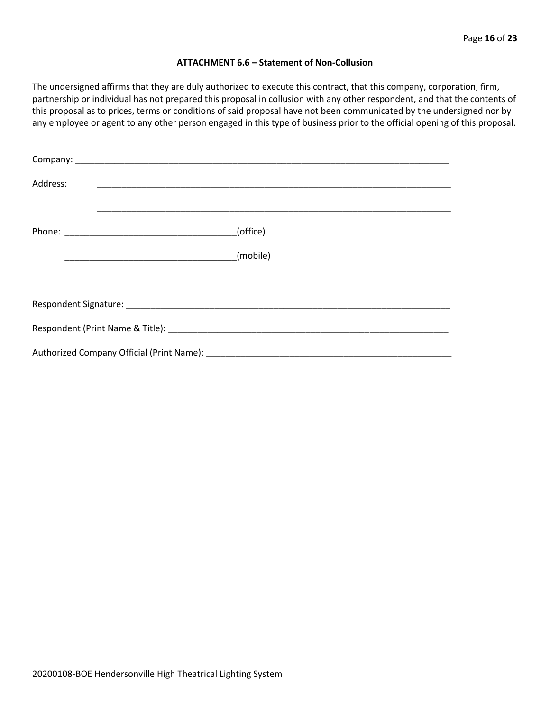#### **ATTACHMENT 6.6 – Statement of Non-Collusion**

The undersigned affirms that they are duly authorized to execute this contract, that this company, corporation, firm, partnership or individual has not prepared this proposal in collusion with any other respondent, and that the contents of this proposal as to prices, terms or conditions of said proposal have not been communicated by the undersigned nor by any employee or agent to any other person engaged in this type of business prior to the official opening of this proposal.

| Address: |          |  |  |  |  |  |
|----------|----------|--|--|--|--|--|
|          | (office) |  |  |  |  |  |
|          | (mobile) |  |  |  |  |  |
|          |          |  |  |  |  |  |
|          |          |  |  |  |  |  |
|          |          |  |  |  |  |  |
|          |          |  |  |  |  |  |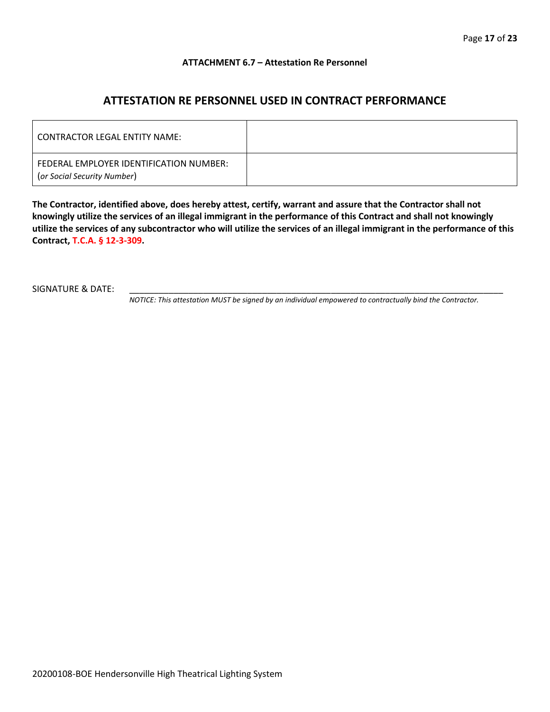#### **ATTACHMENT 6.7 – Attestation Re Personnel**

# **ATTESTATION RE PERSONNEL USED IN CONTRACT PERFORMANCE**

| CONTRACTOR LEGAL ENTITY NAME:                                          |  |
|------------------------------------------------------------------------|--|
| FEDERAL EMPLOYER IDENTIFICATION NUMBER:<br>(or Social Security Number) |  |

**The Contractor, identified above, does hereby attest, certify, warrant and assure that the Contractor shall not knowingly utilize the services of an illegal immigrant in the performance of this Contract and shall not knowingly utilize the services of any subcontractor who will utilize the services of an illegal immigrant in the performance of this Contract, T.C.A. § 12-3-309.**

SIGNATURE & DATE:

*NOTICE: This attestation MUST be signed by an individual empowered to contractually bind the Contractor.*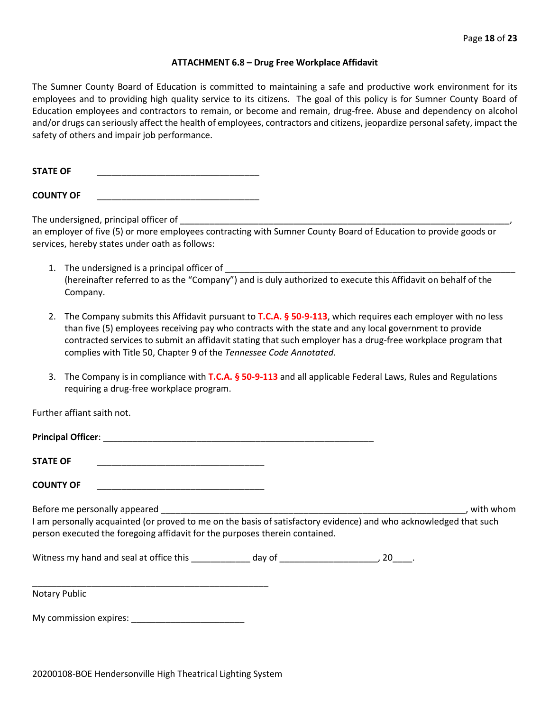#### **ATTACHMENT 6.8 – Drug Free Workplace Affidavit**

The Sumner County Board of Education is committed to maintaining a safe and productive work environment for its employees and to providing high quality service to its citizens. The goal of this policy is for Sumner County Board of Education employees and contractors to remain, or become and remain, drug-free. Abuse and dependency on alcohol and/or drugs can seriously affect the health of employees, contractors and citizens, jeopardize personal safety, impact the safety of others and impair job performance.

STATE OF

**COUNTY OF** \_\_\_\_\_\_\_\_\_\_\_\_\_\_\_\_\_\_\_\_\_\_\_\_\_\_\_\_\_\_\_\_\_

The undersigned, principal officer of

an employer of five (5) or more employees contracting with Sumner County Board of Education to provide goods or services, hereby states under oath as follows:

- 1. The undersigned is a principal officer of (hereinafter referred to as the "Company") and is duly authorized to execute this Affidavit on behalf of the Company.
- 2. The Company submits this Affidavit pursuant to **T.C.A. § 50-9-113**, which requires each employer with no less than five (5) employees receiving pay who contracts with the state and any local government to provide contracted services to submit an affidavit stating that such employer has a drug-free workplace program that complies with Title 50, Chapter 9 of the *Tennessee Code Annotated*.
- 3. The Company is in compliance with **T.C.A. § 50-9-113** and all applicable Federal Laws, Rules and Regulations requiring a drug-free workplace program.

Further affiant saith not.

| <b>Principal Officer:</b> |  |
|---------------------------|--|
| <b>STATE OF</b>           |  |
| <b>COUNTY OF</b>          |  |

Before me personally appeared **Exercise 2** and the set of the set of the set of the set of the set of the set of the set of the set of the set of the set of the set of the set of the set of the set of the set of the set of I am personally acquainted (or proved to me on the basis of satisfactory evidence) and who acknowledged that such person executed the foregoing affidavit for the purposes therein contained.

Witness my hand and seal at office this \_\_\_\_\_\_\_\_\_\_\_\_\_ day of \_\_\_\_\_\_\_\_\_\_\_\_\_\_\_\_\_\_\_\_\_, 20\_\_\_\_.

\_\_\_\_\_\_\_\_\_\_\_\_\_\_\_\_\_\_\_\_\_\_\_\_\_\_\_\_\_\_\_\_\_\_\_\_\_\_\_\_\_\_\_\_\_\_\_\_ Notary Public

My commission expires: \_\_\_\_\_\_\_\_\_\_\_\_\_\_\_\_\_\_\_\_\_\_\_

20200108-BOE Hendersonville High Theatrical Lighting System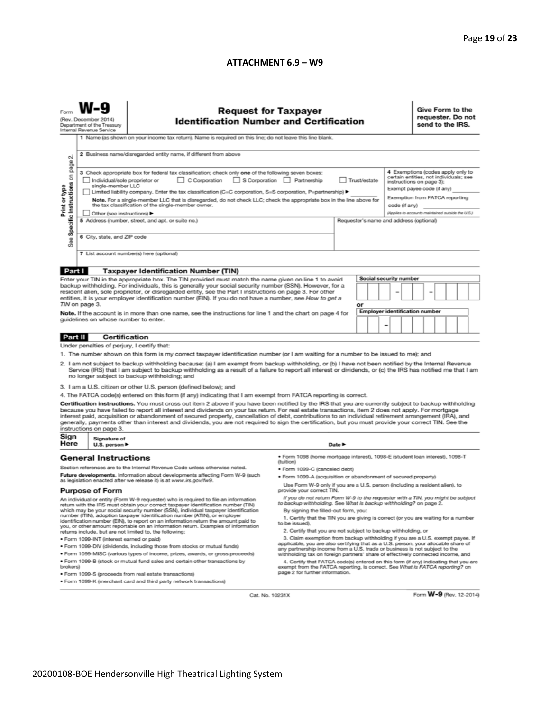#### **ATTACHMENT 6.9 – W9**

|                                                                                                                                                                                                                                                                                                                                                                                                                                                                                                                                                                                                                                                                                                                                                                             | <b>Request for Taxpayer</b><br><b>Identification Number and Certification</b><br>(Rev. December 2014)<br>Department of the Treasury<br>Internal Revenue Service                                                                                                                                                                                                                                                                                                                                                    |                                                                                                                                                      |                                                                                                                                                                     |  |                                                                              |                                                                                                                                                                                                                                               |                                       | Give Form to the<br>requester. Do not<br>send to the IRS. |  |  |  |                         |  |
|-----------------------------------------------------------------------------------------------------------------------------------------------------------------------------------------------------------------------------------------------------------------------------------------------------------------------------------------------------------------------------------------------------------------------------------------------------------------------------------------------------------------------------------------------------------------------------------------------------------------------------------------------------------------------------------------------------------------------------------------------------------------------------|--------------------------------------------------------------------------------------------------------------------------------------------------------------------------------------------------------------------------------------------------------------------------------------------------------------------------------------------------------------------------------------------------------------------------------------------------------------------------------------------------------------------|------------------------------------------------------------------------------------------------------------------------------------------------------|---------------------------------------------------------------------------------------------------------------------------------------------------------------------|--|------------------------------------------------------------------------------|-----------------------------------------------------------------------------------------------------------------------------------------------------------------------------------------------------------------------------------------------|---------------------------------------|-----------------------------------------------------------|--|--|--|-------------------------|--|
| $\sim$<br>page                                                                                                                                                                                                                                                                                                                                                                                                                                                                                                                                                                                                                                                                                                                                                              | 1 Name (as shown on your income tax return). Name is required on this line; do not leave this line blank.<br>2 Business name/disregarded entity name, if different from above                                                                                                                                                                                                                                                                                                                                      |                                                                                                                                                      |                                                                                                                                                                     |  |                                                                              |                                                                                                                                                                                                                                               |                                       |                                                           |  |  |  |                         |  |
| Specific Instructions on<br>Print or type                                                                                                                                                                                                                                                                                                                                                                                                                                                                                                                                                                                                                                                                                                                                   | 3 Check appropriate box for federal tax classification; check only one of the following seven boxes:<br>C Corporation S Corporation Partnership<br>Trust/estate<br>Individual/sole proprietor or<br>single-member LLC<br>Limited liability company. Enter the tax classification (C=C corporation, S=S corporation, P=partnership) ▶<br>Note. For a single-member LLC that is disregarded, do not check LLC; check the appropriate box in the line above for<br>the tax classification of the single-member owner. |                                                                                                                                                      |                                                                                                                                                                     |  |                                                                              | 4 Exemptions (codes apply only to<br>certain entities, not individuals; see<br>instructions on page 3):<br>Exempt payee code (if any)<br>Exemption from FATCA reporting<br>code (if any)<br>(Applies to accounts maintained outside the U.S.) |                                       |                                                           |  |  |  |                         |  |
| æ<br>αñ                                                                                                                                                                                                                                                                                                                                                                                                                                                                                                                                                                                                                                                                                                                                                                     | Other (see instructions) ▶<br>6 City, state, and ZIP code                                                                                                                                                                                                                                                                                                                                                                                                                                                          | 5 Address (number, street, and apt. or suite no.)                                                                                                    | Requester's name and address (optional)                                                                                                                             |  |                                                                              |                                                                                                                                                                                                                                               |                                       |                                                           |  |  |  |                         |  |
|                                                                                                                                                                                                                                                                                                                                                                                                                                                                                                                                                                                                                                                                                                                                                                             |                                                                                                                                                                                                                                                                                                                                                                                                                                                                                                                    | 7 List account number(s) here (optional)                                                                                                             |                                                                                                                                                                     |  |                                                                              |                                                                                                                                                                                                                                               |                                       |                                                           |  |  |  |                         |  |
| Part I                                                                                                                                                                                                                                                                                                                                                                                                                                                                                                                                                                                                                                                                                                                                                                      |                                                                                                                                                                                                                                                                                                                                                                                                                                                                                                                    | <b>Taxpayer Identification Number (TIN)</b>                                                                                                          |                                                                                                                                                                     |  |                                                                              |                                                                                                                                                                                                                                               |                                       |                                                           |  |  |  |                         |  |
| Enter your TIN in the appropriate box. The TIN provided must match the name given on line 1 to avoid<br>backup withholding. For individuals, this is generally your social security number (SSN). However, for a<br>resident alien, sole proprietor, or disregarded entity, see the Part I instructions on page 3. For other<br>entities, it is your employer identification number (EIN). If you do not have a number, see How to get a                                                                                                                                                                                                                                                                                                                                    |                                                                                                                                                                                                                                                                                                                                                                                                                                                                                                                    |                                                                                                                                                      | Social security number                                                                                                                                              |  |                                                                              |                                                                                                                                                                                                                                               |                                       |                                                           |  |  |  |                         |  |
|                                                                                                                                                                                                                                                                                                                                                                                                                                                                                                                                                                                                                                                                                                                                                                             | TIN on page 3.                                                                                                                                                                                                                                                                                                                                                                                                                                                                                                     |                                                                                                                                                      |                                                                                                                                                                     |  | or                                                                           |                                                                                                                                                                                                                                               |                                       |                                                           |  |  |  |                         |  |
| Note. If the account is in more than one name, see the instructions for line 1 and the chart on page 4 for<br>guidelines on whose number to enter.                                                                                                                                                                                                                                                                                                                                                                                                                                                                                                                                                                                                                          |                                                                                                                                                                                                                                                                                                                                                                                                                                                                                                                    |                                                                                                                                                      |                                                                                                                                                                     |  |                                                                              |                                                                                                                                                                                                                                               | <b>Employer identification number</b> |                                                           |  |  |  |                         |  |
| Part II                                                                                                                                                                                                                                                                                                                                                                                                                                                                                                                                                                                                                                                                                                                                                                     |                                                                                                                                                                                                                                                                                                                                                                                                                                                                                                                    | Certification                                                                                                                                        |                                                                                                                                                                     |  |                                                                              |                                                                                                                                                                                                                                               |                                       |                                                           |  |  |  |                         |  |
|                                                                                                                                                                                                                                                                                                                                                                                                                                                                                                                                                                                                                                                                                                                                                                             | Under penalties of perjury, I certify that:                                                                                                                                                                                                                                                                                                                                                                                                                                                                        |                                                                                                                                                      |                                                                                                                                                                     |  |                                                                              |                                                                                                                                                                                                                                               |                                       |                                                           |  |  |  |                         |  |
|                                                                                                                                                                                                                                                                                                                                                                                                                                                                                                                                                                                                                                                                                                                                                                             |                                                                                                                                                                                                                                                                                                                                                                                                                                                                                                                    |                                                                                                                                                      |                                                                                                                                                                     |  |                                                                              |                                                                                                                                                                                                                                               |                                       |                                                           |  |  |  |                         |  |
| 1. The number shown on this form is my correct taxpayer identification number (or I am waiting for a number to be issued to me); and<br>2. I am not subject to backup withholding because: (a) I am exempt from backup withholding, or (b) I have not been notified by the Internal Revenue<br>Service (IRS) that I am subject to backup withholding as a result of a failure to report all interest or dividends, or (c) the IRS has notified me that I am<br>no longer subject to backup withholding; and                                                                                                                                                                                                                                                                 |                                                                                                                                                                                                                                                                                                                                                                                                                                                                                                                    |                                                                                                                                                      |                                                                                                                                                                     |  |                                                                              |                                                                                                                                                                                                                                               |                                       |                                                           |  |  |  |                         |  |
|                                                                                                                                                                                                                                                                                                                                                                                                                                                                                                                                                                                                                                                                                                                                                                             |                                                                                                                                                                                                                                                                                                                                                                                                                                                                                                                    | 3. I am a U.S. citizen or other U.S. person (defined below); and                                                                                     |                                                                                                                                                                     |  |                                                                              |                                                                                                                                                                                                                                               |                                       |                                                           |  |  |  |                         |  |
|                                                                                                                                                                                                                                                                                                                                                                                                                                                                                                                                                                                                                                                                                                                                                                             |                                                                                                                                                                                                                                                                                                                                                                                                                                                                                                                    |                                                                                                                                                      |                                                                                                                                                                     |  |                                                                              |                                                                                                                                                                                                                                               |                                       |                                                           |  |  |  |                         |  |
| 4. The FATCA code(s) entered on this form (if any) indicating that I am exempt from FATCA reporting is correct.<br>Certification instructions. You must cross out item 2 above if you have been notified by the IRS that you are currently subject to backup withholding<br>because you have failed to report all interest and dividends on your tax return. For real estate transactions, item 2 does not apply. For mortgage<br>interest paid, acquisition or abandonment of secured property, cancellation of debt, contributions to an individual retirement arrangement (IRA), and<br>generally, payments other than interest and dividends, you are not required to sign the certification, but you must provide your correct TIN. See the<br>instructions on page 3. |                                                                                                                                                                                                                                                                                                                                                                                                                                                                                                                    |                                                                                                                                                      |                                                                                                                                                                     |  |                                                                              |                                                                                                                                                                                                                                               |                                       |                                                           |  |  |  |                         |  |
| Sign<br>Here                                                                                                                                                                                                                                                                                                                                                                                                                                                                                                                                                                                                                                                                                                                                                                | Signature of<br>U.S. person $\blacktriangleright$                                                                                                                                                                                                                                                                                                                                                                                                                                                                  |                                                                                                                                                      | Date $\blacktriangleright$                                                                                                                                          |  |                                                                              |                                                                                                                                                                                                                                               |                                       |                                                           |  |  |  |                         |  |
| <b>General Instructions</b><br>(tuition)                                                                                                                                                                                                                                                                                                                                                                                                                                                                                                                                                                                                                                                                                                                                    |                                                                                                                                                                                                                                                                                                                                                                                                                                                                                                                    |                                                                                                                                                      |                                                                                                                                                                     |  | · Form 1098 (home mortgage interest), 1098-E (student loan interest), 1098-T |                                                                                                                                                                                                                                               |                                       |                                                           |  |  |  |                         |  |
| Section references are to the Internal Revenue Code unless otherwise noted.                                                                                                                                                                                                                                                                                                                                                                                                                                                                                                                                                                                                                                                                                                 |                                                                                                                                                                                                                                                                                                                                                                                                                                                                                                                    |                                                                                                                                                      | · Form 1099-C (canceled debt)                                                                                                                                       |  |                                                                              |                                                                                                                                                                                                                                               |                                       |                                                           |  |  |  |                         |  |
|                                                                                                                                                                                                                                                                                                                                                                                                                                                                                                                                                                                                                                                                                                                                                                             |                                                                                                                                                                                                                                                                                                                                                                                                                                                                                                                    | Future developments. Information about developments affecting Form W-9 (such<br>as legislation enacted after we release it) is at www.irs.gov/fw9.   | . Form 1099-A (acquisition or abandonment of secured property)                                                                                                      |  |                                                                              |                                                                                                                                                                                                                                               |                                       |                                                           |  |  |  |                         |  |
| <b>Purpose of Form</b>                                                                                                                                                                                                                                                                                                                                                                                                                                                                                                                                                                                                                                                                                                                                                      |                                                                                                                                                                                                                                                                                                                                                                                                                                                                                                                    |                                                                                                                                                      | Use Form W-9 only if you are a U.S. person (including a resident alien), to<br>provide your correct TIN.                                                            |  |                                                                              |                                                                                                                                                                                                                                               |                                       |                                                           |  |  |  |                         |  |
| An individual or entity (Form W-9 requester) who is required to file an information<br>return with the IRS must obtain your correct taxpayer identification number (TIN)                                                                                                                                                                                                                                                                                                                                                                                                                                                                                                                                                                                                    |                                                                                                                                                                                                                                                                                                                                                                                                                                                                                                                    | If you do not return Form W-9 to the requester with a TIN, you might be subject<br>to backup withholding. See What is backup withholding? on page 2. |                                                                                                                                                                     |  |                                                                              |                                                                                                                                                                                                                                               |                                       |                                                           |  |  |  |                         |  |
| which may be your social security number (SSN), individual taxpayer identification<br>number (ITIN), adoption taxpayer identification number (ATIN), or employer<br>identification number (EIN), to report on an information return the amount paid to<br>you, or other amount reportable on an information return. Examples of information                                                                                                                                                                                                                                                                                                                                                                                                                                 |                                                                                                                                                                                                                                                                                                                                                                                                                                                                                                                    | By signing the filled-out form, you:<br>1. Certify that the TIN you are giving is correct (or you are waiting for a number<br>to be issued).         |                                                                                                                                                                     |  |                                                                              |                                                                                                                                                                                                                                               |                                       |                                                           |  |  |  |                         |  |
| 2. Certify that you are not subject to backup withholding, or<br>returns include, but are not limited to, the following:<br>3. Claim exemption from backup withholding if you are a U.S. exempt payee. If                                                                                                                                                                                                                                                                                                                                                                                                                                                                                                                                                                   |                                                                                                                                                                                                                                                                                                                                                                                                                                                                                                                    |                                                                                                                                                      |                                                                                                                                                                     |  |                                                                              |                                                                                                                                                                                                                                               |                                       |                                                           |  |  |  |                         |  |
| · Form 1099-INT (interest earned or paid)<br>. Form 1099-DIV (dividends, including those from stocks or mutual funds)                                                                                                                                                                                                                                                                                                                                                                                                                                                                                                                                                                                                                                                       |                                                                                                                                                                                                                                                                                                                                                                                                                                                                                                                    |                                                                                                                                                      | applicable, you are also certifying that as a U.S. person, your allocable share of                                                                                  |  |                                                                              |                                                                                                                                                                                                                                               |                                       |                                                           |  |  |  |                         |  |
|                                                                                                                                                                                                                                                                                                                                                                                                                                                                                                                                                                                                                                                                                                                                                                             | any partnership income from a U.S. trade or business is not subject to the<br>. Form 1099-MISC (various types of income, prizes, awards, or gross proceeds)<br>withholding tax on foreign partners' share of effectively connected income, and                                                                                                                                                                                                                                                                     |                                                                                                                                                      |                                                                                                                                                                     |  |                                                                              |                                                                                                                                                                                                                                               |                                       |                                                           |  |  |  |                         |  |
| . Form 1099-B (stock or mutual fund sales and certain other transactions by<br>brokers)                                                                                                                                                                                                                                                                                                                                                                                                                                                                                                                                                                                                                                                                                     |                                                                                                                                                                                                                                                                                                                                                                                                                                                                                                                    |                                                                                                                                                      | 4. Certify that FATCA code(s) entered on this form (if any) indicating that you are<br>exempt from the FATCA reporting, is correct. See What is FATCA reporting? on |  |                                                                              |                                                                                                                                                                                                                                               |                                       |                                                           |  |  |  |                         |  |
|                                                                                                                                                                                                                                                                                                                                                                                                                                                                                                                                                                                                                                                                                                                                                                             | page 2 for further information.<br>· Form 1099-S (proceeds from real estate transactions)                                                                                                                                                                                                                                                                                                                                                                                                                          |                                                                                                                                                      |                                                                                                                                                                     |  |                                                                              |                                                                                                                                                                                                                                               |                                       |                                                           |  |  |  |                         |  |
| . Form 1099-K (merchant card and third party network transactions)                                                                                                                                                                                                                                                                                                                                                                                                                                                                                                                                                                                                                                                                                                          |                                                                                                                                                                                                                                                                                                                                                                                                                                                                                                                    |                                                                                                                                                      |                                                                                                                                                                     |  |                                                                              |                                                                                                                                                                                                                                               |                                       |                                                           |  |  |  |                         |  |
|                                                                                                                                                                                                                                                                                                                                                                                                                                                                                                                                                                                                                                                                                                                                                                             |                                                                                                                                                                                                                                                                                                                                                                                                                                                                                                                    | Cat. No. 10231X                                                                                                                                      |                                                                                                                                                                     |  |                                                                              |                                                                                                                                                                                                                                               |                                       |                                                           |  |  |  | Form W-9 (Rev. 12-2014) |  |

20200108-BOE Hendersonville High Theatrical Lighting System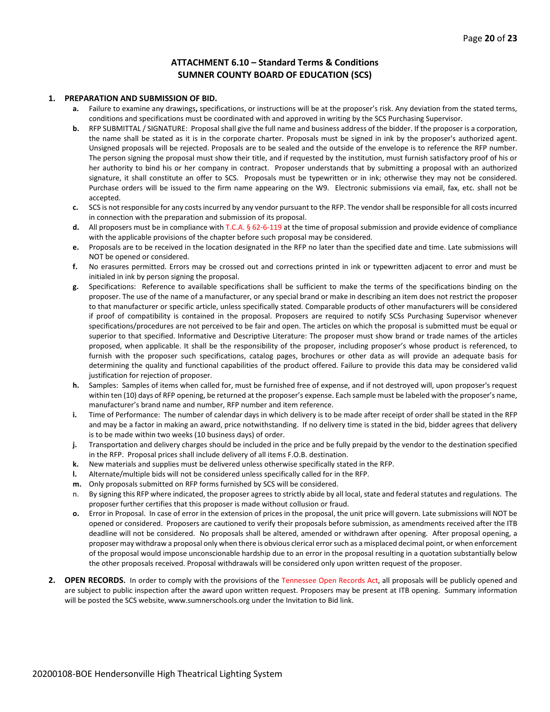#### **ATTACHMENT 6.10 – Standard Terms & Conditions SUMNER COUNTY BOARD OF EDUCATION (SCS)**

#### **1. PREPARATION AND SUBMISSION OF BID.**

- **a.** Failure to examine any drawings**,** specifications, or instructions will be at the proposer's risk. Any deviation from the stated terms, conditions and specifications must be coordinated with and approved in writing by the SCS Purchasing Supervisor.
- **b.** RFP SUBMITTAL / SIGNATURE: Proposal shall give the full name and business address of the bidder. If the proposer is a corporation, the name shall be stated as it is in the corporate charter. Proposals must be signed in ink by the proposer's authorized agent. Unsigned proposals will be rejected. Proposals are to be sealed and the outside of the envelope is to reference the RFP number. The person signing the proposal must show their title, and if requested by the institution, must furnish satisfactory proof of his or her authority to bind his or her company in contract. Proposer understands that by submitting a proposal with an authorized signature, it shall constitute an offer to SCS. Proposals must be typewritten or in ink; otherwise they may not be considered. Purchase orders will be issued to the firm name appearing on the W9. Electronic submissions via email, fax, etc. shall not be accepted.
- **c.** SCS is not responsible for any costs incurred by any vendor pursuant to the RFP. The vendor shall be responsible for all costs incurred in connection with the preparation and submission of its proposal.
- **d.** All proposers must be in compliance with T.C.A. § 62-6-119 at the time of proposal submission and provide evidence of compliance with the applicable provisions of the chapter before such proposal may be considered.
- **e.** Proposals are to be received in the location designated in the RFP no later than the specified date and time. Late submissions will NOT be opened or considered.
- **f.** No erasures permitted. Errors may be crossed out and corrections printed in ink or typewritten adjacent to error and must be initialed in ink by person signing the proposal.
- **g.** Specifications: Reference to available specifications shall be sufficient to make the terms of the specifications binding on the proposer. The use of the name of a manufacturer, or any special brand or make in describing an item does not restrict the proposer to that manufacturer or specific article, unless specifically stated. Comparable products of other manufacturers will be considered if proof of compatibility is contained in the proposal. Proposers are required to notify SCSs Purchasing Supervisor whenever specifications/procedures are not perceived to be fair and open. The articles on which the proposal is submitted must be equal or superior to that specified. Informative and Descriptive Literature: The proposer must show brand or trade names of the articles proposed, when applicable. It shall be the responsibility of the proposer, including proposer's whose product is referenced, to furnish with the proposer such specifications, catalog pages, brochures or other data as will provide an adequate basis for determining the quality and functional capabilities of the product offered. Failure to provide this data may be considered valid justification for rejection of proposer.
- **h.** Samples: Samples of items when called for, must be furnished free of expense, and if not destroyed will, upon proposer's request within ten (10) days of RFP opening, be returned at the proposer's expense. Each sample must be labeled with the proposer's name, manufacturer's brand name and number, RFP number and item reference.
- **i.** Time of Performance: The number of calendar days in which delivery is to be made after receipt of order shall be stated in the RFP and may be a factor in making an award, price notwithstanding. If no delivery time is stated in the bid, bidder agrees that delivery is to be made within two weeks (10 business days) of order.
- **j.** Transportation and delivery charges should be included in the price and be fully prepaid by the vendor to the destination specified in the RFP. Proposal prices shall include delivery of all items F.O.B. destination.
- **k.** New materials and supplies must be delivered unless otherwise specifically stated in the RFP.
- **l.** Alternate/multiple bids will not be considered unless specifically called for in the RFP.
- **m.** Only proposals submitted on RFP forms furnished by SCS will be considered.
- n. By signing this RFP where indicated, the proposer agrees to strictly abide by all local, state and federal statutes and regulations. The proposer further certifies that this proposer is made without collusion or fraud.
- **o.** Error in Proposal. In case of error in the extension of prices in the proposal, the unit price will govern. Late submissions will NOT be opened or considered. Proposers are cautioned to verify their proposals before submission, as amendments received after the ITB deadline will not be considered. No proposals shall be altered, amended or withdrawn after opening. After proposal opening, a proposer may withdraw a proposal only when there is obvious clerical error such as a misplaced decimal point, or when enforcement of the proposal would impose unconscionable hardship due to an error in the proposal resulting in a quotation substantially below the other proposals received. Proposal withdrawals will be considered only upon written request of the proposer.
- **2. OPEN RECORDS.** In order to comply with the provisions of the Tennessee Open Records Act, all proposals will be publicly opened and are subject to public inspection after the award upon written request. Proposers may be present at ITB opening. Summary information will be posted the SCS website, www.sumnerschools.org under the Invitation to Bid link.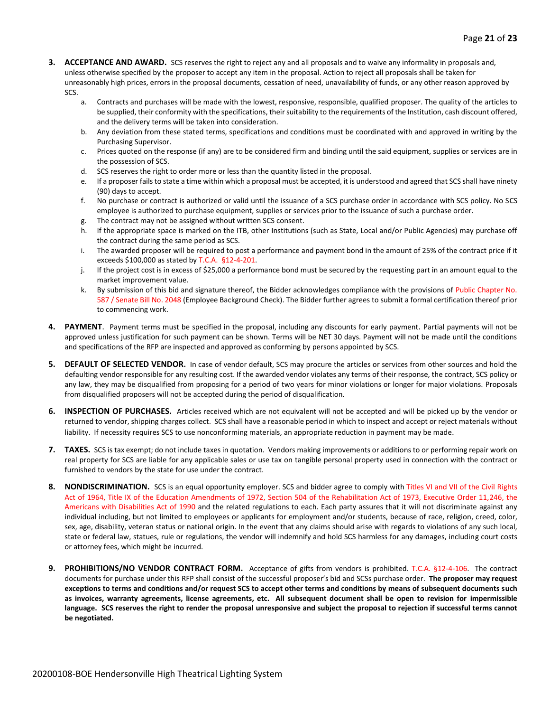- **3. ACCEPTANCE AND AWARD.** SCS reserves the right to reject any and all proposals and to waive any informality in proposals and, unless otherwise specified by the proposer to accept any item in the proposal. Action to reject all proposals shall be taken for unreasonably high prices, errors in the proposal documents, cessation of need, unavailability of funds, or any other reason approved by SCS.
	- a. Contracts and purchases will be made with the lowest, responsive, responsible, qualified proposer. The quality of the articles to be supplied, their conformity with the specifications, their suitability to the requirements of the Institution, cash discount offered, and the delivery terms will be taken into consideration.
	- b. Any deviation from these stated terms, specifications and conditions must be coordinated with and approved in writing by the Purchasing Supervisor.
	- c. Prices quoted on the response (if any) are to be considered firm and binding until the said equipment, supplies or services are in the possession of SCS.
	- d. SCS reserves the right to order more or less than the quantity listed in the proposal.
	- e. If a proposer fails to state a time within which a proposal must be accepted, it is understood and agreed that SCS shall have ninety (90) days to accept.
	- f. No purchase or contract is authorized or valid until the issuance of a SCS purchase order in accordance with SCS policy. No SCS employee is authorized to purchase equipment, supplies or services prior to the issuance of such a purchase order.
	- g. The contract may not be assigned without written SCS consent.
	- h. If the appropriate space is marked on the ITB, other Institutions (such as State, Local and/or Public Agencies) may purchase off the contract during the same period as SCS.
	- i. The awarded proposer will be required to post a performance and payment bond in the amount of 25% of the contract price if it exceeds \$100,000 as stated by T.C.A. §12-4-201.
	- j. If the project cost is in excess of \$25,000 a performance bond must be secured by the requesting part in an amount equal to the market improvement value.
	- k. By submission of this bid and signature thereof, the Bidder acknowledges compliance with the provisions of Public Chapter No. 587 / Senate Bill No. 2048 (Employee Background Check). The Bidder further agrees to submit a formal certification thereof prior to commencing work.
- **4. PAYMENT**. Payment terms must be specified in the proposal, including any discounts for early payment. Partial payments will not be approved unless justification for such payment can be shown. Terms will be NET 30 days. Payment will not be made until the conditions and specifications of the RFP are inspected and approved as conforming by persons appointed by SCS.
- **5. DEFAULT OF SELECTED VENDOR.** In case of vendor default, SCS may procure the articles or services from other sources and hold the defaulting vendor responsible for any resulting cost. If the awarded vendor violates any terms of their response, the contract, SCS policy or any law, they may be disqualified from proposing for a period of two years for minor violations or longer for major violations. Proposals from disqualified proposers will not be accepted during the period of disqualification.
- **6. INSPECTION OF PURCHASES.** Articles received which are not equivalent will not be accepted and will be picked up by the vendor or returned to vendor, shipping charges collect. SCS shall have a reasonable period in which to inspect and accept or reject materials without liability. If necessity requires SCS to use nonconforming materials, an appropriate reduction in payment may be made.
- **7. TAXES.** SCS is tax exempt; do not include taxes in quotation. Vendors making improvements or additions to or performing repair work on real property for SCS are liable for any applicable sales or use tax on tangible personal property used in connection with the contract or furnished to vendors by the state for use under the contract.
- **8. NONDISCRIMINATION.** SCS is an equal opportunity employer. SCS and bidder agree to comply with Titles VI and VII of the Civil Rights Act of 1964, Title IX of the Education Amendments of 1972, Section 504 of the Rehabilitation Act of 1973, Executive Order 11,246, the Americans with Disabilities Act of 1990 and the related regulations to each. Each party assures that it will not discriminate against any individual including, but not limited to employees or applicants for employment and/or students, because of race, religion, creed, color, sex, age, disability, veteran status or national origin. In the event that any claims should arise with regards to violations of any such local, state or federal law, statues, rule or regulations, the vendor will indemnify and hold SCS harmless for any damages, including court costs or attorney fees, which might be incurred.
- **9. PROHIBITIONS/NO VENDOR CONTRACT FORM.** Acceptance of gifts from vendors is prohibited. T.C.A. §12-4-106. The contract documents for purchase under this RFP shall consist of the successful proposer's bid and SCSs purchase order. **The proposer may request exceptions to terms and conditions and/or request SCS to accept other terms and conditions by means of subsequent documents such as invoices, warranty agreements, license agreements, etc. All subsequent document shall be open to revision for impermissible language. SCS reserves the right to render the proposal unresponsive and subject the proposal to rejection if successful terms cannot be negotiated.**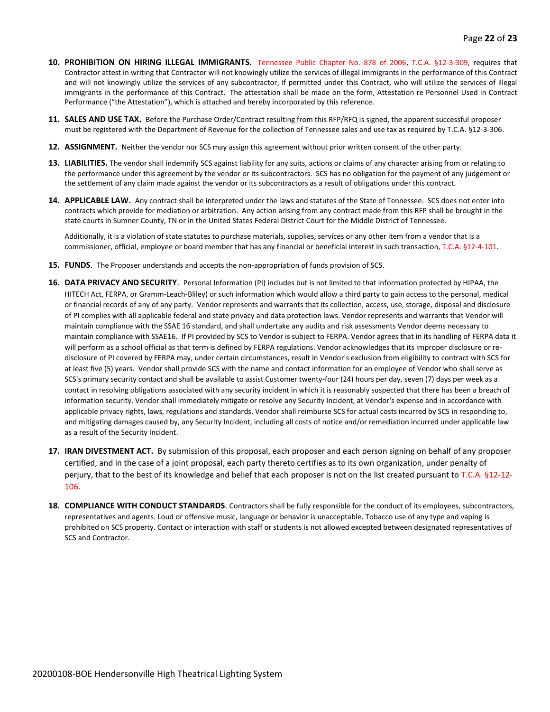- **10. PROHIBITION ON HIRING ILLEGAL IMMIGRANTS.** Tennessee Public Chapter No. 878 of 2006, T.C.A. §12-3-309, requires that Contractor attest in writing that Contractor will not knowingly utilize the services of illegal immigrants in the performance of this Contract and will not knowingly utilize the services of any subcontractor, if permitted under this Contract, who will utilize the services of illegal immigrants in the performance of this Contract. The attestation shall be made on the form, Attestation re Personnel Used in Contract Performance ("the Attestation"), which is attached and hereby incorporated by this reference.
- **11. SALES AND USE TAX.** Before the Purchase Order/Contract resulting from this RFP/RFQ is signed, the apparent successful proposer must be registered with the Department of Revenue for the collection of Tennessee sales and use tax as required by T.C.A. §12-3-306.
- **12. ASSIGNMENT.** Neither the vendor nor SCS may assign this agreement without prior written consent of the other party.
- **13. LIABILITIES.** The vendor shall indemnify SCS against liability for any suits, actions or claims of any character arising from or relating to the performance under this agreement by the vendor or its subcontractors. SCS has no obligation for the payment of any judgement or the settlement of any claim made against the vendor or its subcontractors as a result of obligations under this contract.
- **14. APPLICABLE LAW.** Any contract shall be interpreted under the laws and statutes of the State of Tennessee. SCS does not enter into contracts which provide for mediation or arbitration. Any action arising from any contract made from this RFP shall be brought in the state courts in Sumner County, TN or in the United States Federal District Court for the Middle District of Tennessee.

Additionally, it is a violation of state statutes to purchase materials, supplies, services or any other item from a vendor that is a commissioner, official, employee or board member that has any financial or beneficial interest in such transaction, T.C.A. §12-4-101.

- **15. FUNDS**. The Proposer understands and accepts the non-appropriation of funds provision of SCS.
- **16. DATA PRIVACY AND SECURITY**. Personal Information (PI) includes but is not limited to that information protected by HIPAA, the HITECH Act, FERPA, or Gramm-Leach-Bliley) or such information which would allow a third party to gain access to the personal, medical or financial records of any of any party. Vendor represents and warrants that its collection, access, use, storage, disposal and disclosure of PI complies with all applicable federal and state privacy and data protection laws. Vendor represents and warrants that Vendor will maintain compliance with the SSAE 16 standard, and shall undertake any audits and risk assessments Vendor deems necessary to maintain compliance with SSAE16. If PI provided by SCS to Vendor is subject to FERPA. Vendor agrees that in its handling of FERPA data it will perform as a school official as that term is defined by FERPA regulations. Vendor acknowledges that its improper disclosure or redisclosure of PI covered by FERPA may, under certain circumstances, result in Vendor's exclusion from eligibility to contract with SCS for at least five (5) years. Vendor shall provide SCS with the name and contact information for an employee of Vendor who shall serve as SCS's primary security contact and shall be available to assist Customer twenty-four (24) hours per day, seven (7) days per week as a contact in resolving obligations associated with any security incident in which it is reasonably suspected that there has been a breach of information security. Vendor shall immediately mitigate or resolve any Security Incident, at Vendor's expense and in accordance with applicable privacy rights, laws, regulations and standards. Vendor shall reimburse SCS for actual costs incurred by SCS in responding to, and mitigating damages caused by, any Security Incident, including all costs of notice and/or remediation incurred under applicable law as a result of the Security Incident.
- **17. IRAN DIVESTMENT ACT.** By submission of this proposal, each proposer and each person signing on behalf of any proposer certified, and in the case of a joint proposal, each party thereto certifies as to its own organization, under penalty of perjury, that to the best of its knowledge and belief that each proposer is not on the list created pursuant to T.C.A. §12-12- 106.
- **18. COMPLIANCE WITH CONDUCT STANDARDS**. Contractors shall be fully responsible for the conduct of its employees, subcontractors, representatives and agents. Loud or offensive music, language or behavior is unacceptable. Tobacco use of any type and vaping is prohibited on SCS property. Contact or interaction with staff or students is not allowed excepted between designated representatives of SCS and Contractor.